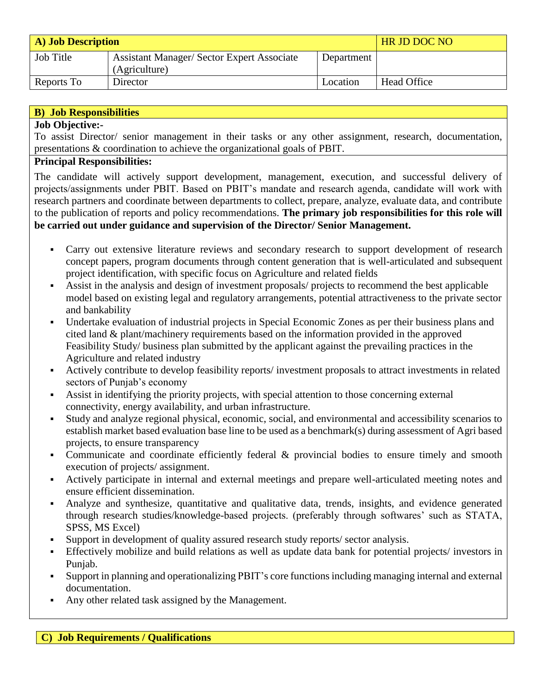| <b>A)</b> Job Description |                                                                    |            | <b>HR JD DOC NO</b> |
|---------------------------|--------------------------------------------------------------------|------------|---------------------|
| <b>Job Title</b>          | <b>Assistant Manager/ Sector Expert Associate</b><br>(Agriculture) | Department |                     |
| Reports To                | Director                                                           | Location   | Head Office         |

| <b>B</b> ) Job Responsibilities                                                                        |  |  |  |
|--------------------------------------------------------------------------------------------------------|--|--|--|
| <b>Job Objective:-</b>                                                                                 |  |  |  |
| To assist Director/ senior management in their tasks or any other assignment, research, documentation, |  |  |  |
| presentations & coordination to achieve the organizational goals of PBIT.                              |  |  |  |
| Dringhal Deepenghilities                                                                               |  |  |  |

## **Principal Responsibilities:**

The candidate will actively support development, management, execution, and successful delivery of projects/assignments under PBIT. Based on PBIT's mandate and research agenda, candidate will work with research partners and coordinate between departments to collect, prepare, analyze, evaluate data, and contribute to the publication of reports and policy recommendations. **The primary job responsibilities for this role will be carried out under guidance and supervision of the Director/ Senior Management.** 

- Carry out extensive literature reviews and secondary research to support development of research concept papers, program documents through content generation that is well-articulated and subsequent project identification, with specific focus on Agriculture and related fields
- Assist in the analysis and design of investment proposals/ projects to recommend the best applicable model based on existing legal and regulatory arrangements, potential attractiveness to the private sector and bankability
- Undertake evaluation of industrial projects in Special Economic Zones as per their business plans and cited land & plant/machinery requirements based on the information provided in the approved Feasibility Study/ business plan submitted by the applicant against the prevailing practices in the Agriculture and related industry
- Actively contribute to develop feasibility reports/ investment proposals to attract investments in related sectors of Punjab's economy
- Assist in identifying the priority projects, with special attention to those concerning external connectivity, energy availability, and urban infrastructure.
- Study and analyze regional physical, economic, social, and environmental and accessibility scenarios to establish market based evaluation base line to be used as a benchmark(s) during assessment of Agri based projects, to ensure transparency
- Communicate and coordinate efficiently federal & provincial bodies to ensure timely and smooth execution of projects/ assignment.
- Actively participate in internal and external meetings and prepare well-articulated meeting notes and ensure efficient dissemination.
- Analyze and synthesize, quantitative and qualitative data, trends, insights, and evidence generated through research studies/knowledge-based projects. (preferably through softwares' such as STATA, SPSS, MS Excel)
- Support in development of quality assured research study reports/ sector analysis.
- Effectively mobilize and build relations as well as update data bank for potential projects/ investors in Punjab.
- Support in planning and operationalizing PBIT's core functions including managing internal and external documentation.
- Any other related task assigned by the Management.